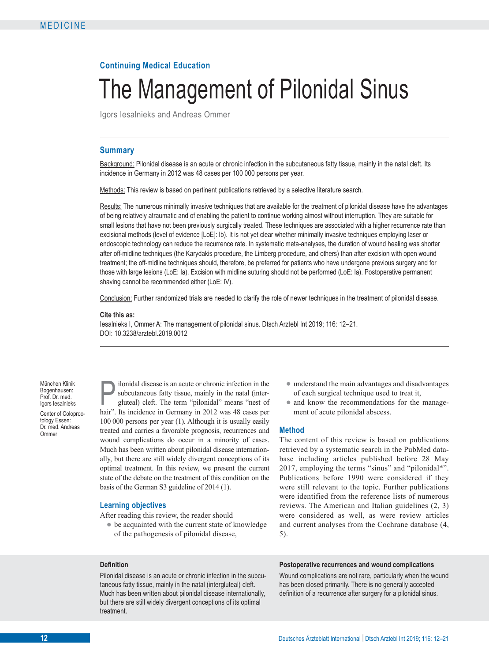#### **Continuing Medical Education**

# The Management of Pilonidal Sinus

Igors Iesalnieks and Andreas Ommer

#### **Summary**

Background: Pilonidal disease is an acute or chronic infection in the subcutaneous fatty tissue, mainly in the natal cleft. Its incidence in Germany in 2012 was 48 cases per 100 000 persons per year.

Methods: This review is based on pertinent publications retrieved by a selective literature search.

Results: The numerous minimally invasive techniques that are available for the treatment of pilonidal disease have the advantages of being relatively atraumatic and of enabling the patient to continue working almost without interruption. They are suitable for small lesions that have not been previously surgically treated. These techniques are associated with a higher recurrence rate than excisional methods (level of evidence [LoE]: Ib). It is not yet clear whether minimally invasive techniques employing laser or endoscopic technology can reduce the recurrence rate. In systematic meta-analyses, the duration of wound healing was shorter after off-midline techniques (the Karydakis procedure, the Limberg procedure, and others) than after excision with open wound treatment; the off-midline techniques should, therefore, be preferred for patients who have undergone previous surgery and for those with large lesions (LoE: Ia). Excision with midline suturing should not be performed (LoE: Ia). Postoperative permanent shaving cannot be recommended either (LoE: IV).

Conclusion: Further randomized trials are needed to clarify the role of newer techniques in the treatment of pilonidal disease.

#### **Cite this as:**

Iesalnieks I, Ommer A: The management of pilonidal sinus. Dtsch Arztebl Int 2019; 116: 12–21. DOI: 10.3238/arztebl.2019.0012

München Klinik Bogenhausen: Prof. Dr. med. Igors Iesalnieks

Center of Coloproctology Essen: Dr. med. Andreas Ommer

**P** ilonidal disease is an acute or chronic infection in the subcutaneous fatty tissue, mainly in the natal (intergluteal) cleft. The term "pilonidal" means "nest of subcutaneous fatty tissue, mainly in the natal (interhair". Its incidence in Germany in 2012 was 48 cases per 100 000 persons per year (1). Although it is usually easily treated and carries a favorable prognosis, recurrences and wound complications do occur in a minority of cases. Much has been written about pilonidal disease internationally, but there are still widely divergent conceptions of its optimal treatment. In this review, we present the current state of the debate on the treatment of this condition on the basis of the German S3 guideline of 2014 (1).

#### **Learning objectives**

After reading this review, the reader should

**●** be acquainted with the current state of knowledge of the pathogenesis of pilonidal disease,

#### **Definition**

Pilonidal disease is an acute or chronic infection in the subcutaneous fatty tissue, mainly in the natal (intergluteal) cleft. Much has been written about pilonidal disease internationally, but there are still widely divergent conceptions of its optimal treatment.

- **●** understand the main advantages and disadvantages of each surgical technique used to treat it,
- **●** and know the recommendations for the management of acute pilonidal abscess.

#### **Method**

The content of this review is based on publications retrieved by a systematic search in the PubMed database including articles published before 28 May 2017, employing the terms "sinus" and "pilonidal\*". Publications before 1990 were considered if they were still relevant to the topic. Further publications were identified from the reference lists of numerous reviews. The American and Italian guidelines (2, 3) were considered as well, as were review articles and current analyses from the Cochrane database (4, 5).

#### **Postoperative recurrences and wound complications**

Wound complications are not rare, particularly when the wound has been closed primarily. There is no generally accepted definition of a recurrence after surgery for a pilonidal sinus.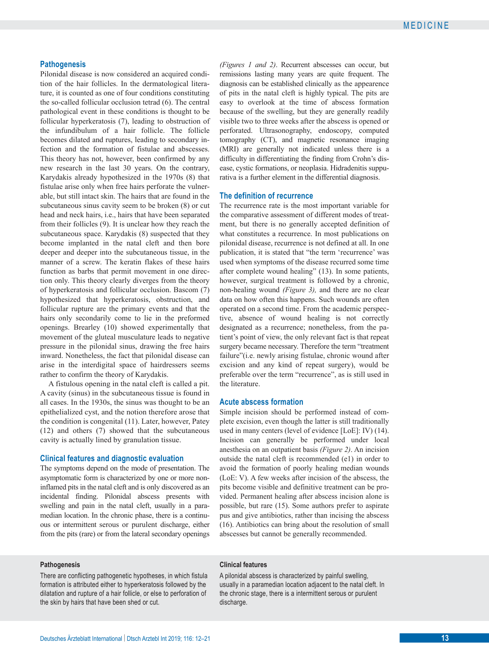#### **Pathogenesis**

Pilonidal disease is now considered an acquired condition of the hair follicles. In the dermatological literature, it is counted as one of four conditions constituting the so-called follicular occlusion tetrad (6). The central pathological event in these conditions is thought to be follicular hyperkeratosis (7), leading to obstruction of the infundibulum of a hair follicle. The follicle becomes dilated and ruptures, leading to secondary infection and the formation of fistulae and abscesses. This theory has not, however, been confirmed by any new research in the last 30 years. On the contrary, Karydakis already hypothesized in the 1970s (8) that fistulae arise only when free hairs perforate the vulnerable, but still intact skin. The hairs that are found in the subcutaneous sinus cavity seem to be broken (8) or cut head and neck hairs, i.e., hairs that have been separated from their follicles (9). It is unclear how they reach the subcutaneous space. Karydakis (8) suspected that they become implanted in the natal cleft and then bore deeper and deeper into the subcutaneous tissue, in the manner of a screw. The keratin flakes of these hairs function as barbs that permit movement in one direction only. This theory clearly diverges from the theory of hyperkeratosis and follicular occlusion. Bascom (7) hypothesized that hyperkeratosis, obstruction, and follicular rupture are the primary events and that the hairs only secondarily come to lie in the preformed openings. Brearley (10) showed experimentally that movement of the gluteal musculature leads to negative pressure in the pilonidal sinus, drawing the free hairs inward. Nonetheless, the fact that pilonidal disease can arise in the interdigital space of hairdressers seems rather to confirm the theory of Karydakis.

A fistulous opening in the natal cleft is called a pit. A cavity (sinus) in the subcutaneous tissue is found in all cases. In the 1930s, the sinus was thought to be an epithelialized cyst, and the notion therefore arose that the condition is congenital (11). Later, however, Patey (12) and others (7) showed that the subcutaneous cavity is actually lined by granulation tissue.

#### **Clinical features and diagnostic evaluation**

The symptoms depend on the mode of presentation. The asymptomatic form is characterized by one or more noninflamed pits in the natal cleft and is only discovered as an incidental finding. Pilonidal abscess presents with swelling and pain in the natal cleft, usually in a paramedian location. In the chronic phase, there is a continuous or intermittent serous or purulent discharge, either from the pits (rare) or from the lateral secondary openings *(Figures 1 and 2)*. Recurrent abscesses can occur, but remissions lasting many years are quite frequent. The diagnosis can be established clinically as the appearence of pits in the natal cleft is highly typical. The pits are easy to overlook at the time of abscess formation because of the swelling, but they are generally readily visible two to three weeks after the abscess is opened or perforated. Ultrasonography, endoscopy, computed tomography (CT), and magnetic resonance imaging (MRI) are generally not indicated unless there is a difficulty in differentiating the finding from Crohn's disease, cystic formations, or neoplasia. Hidradenitis suppurativa is a further element in the differential diagnosis.

#### **The definition of recurrence**

The recurrence rate is the most important variable for the comparative assessment of different modes of treatment, but there is no generally accepted definition of what constitutes a recurrence. In most publications on pilonidal disease, recurrence is not defined at all. In one publication, it is stated that "the term 'recurrence' was used when symptoms of the disease recurred some time after complete wound healing" (13). In some patients, however, surgical treatment is followed by a chronic, non-healing wound *(Figure 3),* and there are no clear data on how often this happens. Such wounds are often operated on a second time. From the academic perspective, absence of wound healing is not correctly designated as a recurrence; nonetheless, from the patient's point of view, the only relevant fact is that repeat surgery became necessary. Therefore the term "treatment failure"(i.e. newly arising fistulae, chronic wound after excision and any kind of repeat surgery), would be preferable over the term "recurrence", as is still used in the literature.

#### **Acute abscess formation**

Simple incision should be performed instead of complete excision, even though the latter is still traditionally used in many centers (level of evidence [LoE]: IV) (14). Incision can generally be performed under local anesthesia on an outpatient basis *(Figure 2)*. An incision outside the natal cleft is recommended (e1) in order to avoid the formation of poorly healing median wounds (LoE: V). A few weeks after incision of the abscess, the pits become visible and definitive treatment can be provided. Permanent healing after abscess incision alone is possible, but rare (15). Some authors prefer to aspirate pus and give antibiotics, rather than incising the abscess (16). Antibiotics can bring about the resolution of small abscesses but cannot be generally recommended.

#### **Pathogenesis**

There are conflicting pathogenetic hypotheses, in which fistula formation is attributed either to hyperkeratosis followed by the dilatation and rupture of a hair follicle, or else to perforation of the skin by hairs that have been shed or cut.

#### **Clinical features**

A pilonidal abscess is characterized by painful swelling, usually in a paramedian location adjacent to the natal cleft. In the chronic stage, there is a intermittent serous or purulent discharge.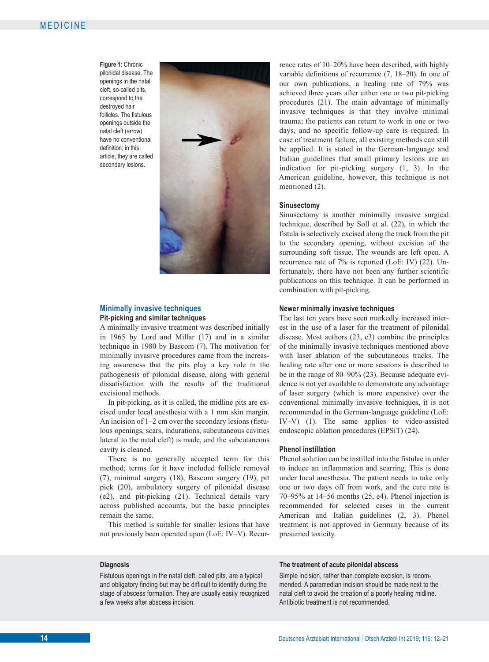**Figure 1:** Chronic pilonidal disease. The openings in the natal cleft, so-called pits, correspond to the destroyed hair follicles. The fistulous openings outside the natal cleft (arrow) have no conventional definition; in this article, they are called secondary lesions.



#### **Minimally invasive techniques Pit-picking and similar techniques**

A minimally invasive treatment was described initially in 1965 by Lord and Millar (17) and in a similar technique in 1980 by Bascom (7). The motivation for minimally invasive procedures came from the increasing awareness that the pits play a key role in the pathogenesis of pilonidal disease, along with general dissatisfaction with the results of the traditional excisional methods.

In pit-picking, as it is called, the midline pits are excised under local anesthesia with a 1 mm skin margin. An incision of 1–2 cm over the secondary lesions (fistulous openings, scars, indurations, subcutaneous cavities lateral to the natal cleft) is made, and the subcutaneous cavity is cleaned.

There is no generally accepted term for this method; terms for it have included follicle removal (7), minimal surgery (18), Bascom surgery (19), pit pick (20), ambulatory surgery of pilonidal disease (e2), and pit-picking (21). Technical details vary across published accounts, but the basic principles remain the same.

This method is suitable for smaller lesions that have not previously been operated upon (LoE: IV–V). Recur-

#### **Diagnosis**

Fistulous openings in the natal cleft, called pits, are a typical and obligatory finding but may be difficult to identify during the stage of abscess formation. They are usually easily recognized a few weeks after abscess incision.

rence rates of 10–20% have been described, with highly variable definitions of recurrence (7, 18–20). In one of our own publications, a healing rate of 79% was achieved three years after either one or two pit-picking procedures (21). The main advantage of minimally invasive techniques is that they involve minimal trauma; the patients can return to work in one or two days, and no specific follow-up care is required. In case of treatment failure, all existing methods can still be applied. It is stated in the German-language and Italian guidelines that small primary lesions are an indication for pit-picking surgery  $(1, 3)$ . In the American guideline, however, this technique is not mentioned (2).

#### **Sinusectomy**

Sinusectomy is another minimally invasive surgical technique, described by Soll et al. (22), in which the fistula is selectively excised along the track from the pit to the secondary opening, without excision of the surrounding soft tissue. The wounds are left open. A recurrence rate of 7% is reported (LoE: IV) (22). Unfortunately, there have not been any further scientific publications on this technique. It can be performed in combination with pit-picking.

#### **Newer minimally invasive techniques**

The last ten years have seen markedly increased interest in the use of a laser for the treatment of pilonidal disease. Most authors (23, e3) combine the principles of the minimally invasive techniques mentioned above with laser ablation of the subcutaneous tracks. The healing rate after one or more sessions is described to be in the range of 80–90% (23). Because adequate evidence is not yet available to demonstrate any advantage of laser surgery (which is more expensive) over the conventional minimally invasive techniques, it is not recommended in the German-language guideline (LoE: IV–V) (1). The same applies to video-assisted endoscopic ablation procedures (EPSiT) (24).

#### **Phenol instillation**

Phenol solution can be instilled into the fistulae in order to induce an inflammation and scarring. This is done under local anesthesia. The patient needs to take only one or two days off from work, and the cure rate is 70–95% at 14–56 months (25, e4). Phenol injection is recommended for selected cases in the current American and Italian guidelines (2, 3). Phenol treatment is not approved in Germany because of its presumed toxicity.

#### **The treatment of acute pilonidal abscess**

Simple incision, rather than complete excision, is recommended. A paramedian incision should be made next to the natal cleft to avoid the creation of a poorly healing midline. Antibiotic treatment is not recommended.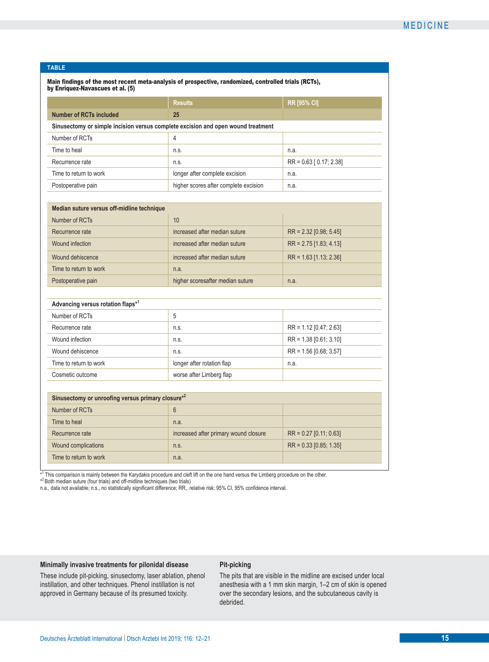#### **TABLE**

|                                                   | <b>Results</b>                                                                   | <b>RR [95% CI]</b>        |
|---------------------------------------------------|----------------------------------------------------------------------------------|---------------------------|
| <b>Number of RCTs included</b>                    | 25                                                                               |                           |
|                                                   | Sinusectomy or simple incision versus complete excision and open wound treatment |                           |
| Number of RCTs                                    | $\overline{4}$                                                                   |                           |
| Time to heal                                      | n.s.                                                                             | n.a.                      |
| Recurrence rate                                   | n.s.                                                                             | $RR = 0.63$ [ 0.17; 2.38] |
| Time to return to work                            | longer after complete excision                                                   | n.a.                      |
| Postoperative pain                                | higher scores after complete excision                                            | n.a.                      |
|                                                   |                                                                                  |                           |
| Median suture versus off-midline technique        |                                                                                  |                           |
| Number of RCTs                                    | 10                                                                               |                           |
| Recurrence rate                                   | increased after median suture                                                    | $RR = 2.32$ [0.98; 5.45]  |
| Wound infection                                   | increased after median suture                                                    | RR = 2.75 [1.83; 4.13]    |
| Wound dehiscence                                  | increased after median suture                                                    | RR = 1.63 [1.13; 2.36]    |
| Time to return to work                            | n.a.                                                                             |                           |
| Postoperative pain                                | higher scoresafter median suture                                                 | n.a.                      |
|                                                   |                                                                                  |                           |
| Advancing versus rotation flaps*1                 |                                                                                  |                           |
| Number of RCTs                                    | 5                                                                                |                           |
| Recurrence rate                                   | n.s.                                                                             | $RR = 1.12$ [0.47; 2.63]  |
| Wound infection                                   | n.s.                                                                             | $RR = 1.38 [0.61; 3.10]$  |
| Wound dehiscence                                  | n.s.                                                                             | $RR = 1.56$ [0.68; 3.57]  |
| Time to return to work                            | longer after rotation flap                                                       | n.a.                      |
| Cosmetic outcome                                  | worse after Limberg flap                                                         |                           |
|                                                   |                                                                                  |                           |
| Sinusectomy or unroofing versus primary closure*2 |                                                                                  |                           |
| Number of RCTs                                    | $6\phantom{1}6$                                                                  |                           |
| Time to heal                                      | n.a.                                                                             |                           |
| Recurrence rate                                   | increased after primary wound closure                                            | $RR = 0.27$ [0.11; 0.63]  |
| <b>Wound complications</b>                        | n.s.                                                                             | RR = 0.33 [0.85; 1.35]    |
| Time to return to work                            | n.a.                                                                             |                           |

\*<sup>1</sup> This comparison is mainly between the Karydakis procedure and cleft lift on the one hand versus the Limberg procedure on the other.

\*<sup>2</sup> Both median suture (four trials) and off-midline techniques (two trials)

n.a., data not available; n.s., no statistically significant difference; RR,. relative risk; 95% CI, 95% confidence interval.

#### **Minimally invasive treatments for pilonidal disease**

#### **Pit-picking**

These include pit-picking, sinusectomy, laser ablation, phenol instillation, and other techniques. Phenol instillation is not approved in Germany because of its presumed toxicity.

The pits that are visible in the midline are excised under local anesthesia with a 1 mm skin margin, 1–2 cm of skin is opened over the secondary lesions, and the subcutaneous cavity is debrided.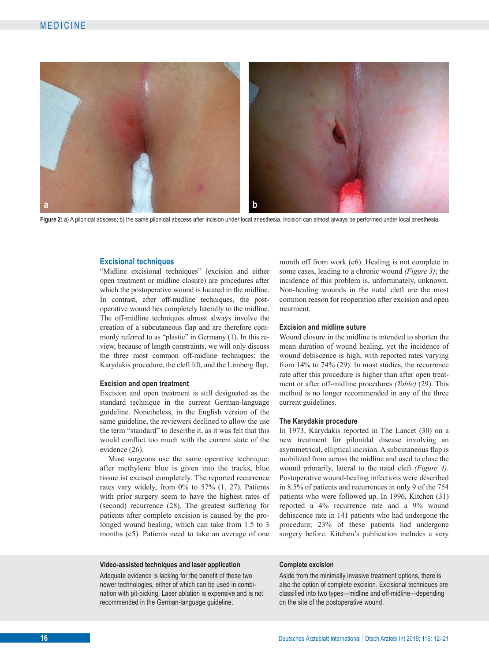

**Figure 2:** a) A pilonidal abscess; b) the same pilonidal abscess after incision under local anesthesia. Incision can almost always be performed under local anesthesia.

#### **Excisional techniques**

"Midline excisional techniques" (excision and either open treatment or midline closure) are procedures after which the postoperative wound is located in the midline. In contrast, after off-midline techniques, the post operative wound lies completely laterally to the midline. The off-midline techniques almost always involve the creation of a subcutaneous flap and are therefore commonly referred to as "plastic" in Germany (1). In this review, because of length constraints, we will only discuss the three most common off-midline techniques: the Karydakis procedure, the cleft lift, and the Limberg flap.

#### **Excision and open treatment**

Excision and open treatment is still designated as the standard technique in the current German-language guideline. Nonetheless, in the English version of the same guideline, the reviewers declined to allow the use the term "standard" to describe it, as it was felt that this would conflict too much with the current state of the evidence (26).

Most surgeons use the same operative technique: after methylene blue is given into the tracks, blue tissue ist excised completely. The reported recurrence rates vary widely, from 0% to 57% (1, 27). Patients with prior surgery seem to have the highest rates of (second) recurrence (28). The greatest suffering for patients after complete excision is caused by the prolonged wound healing, which can take from 1.5 to 3 months (e5). Patients need to take an average of one

month off from work (e6). Healing is not complete in some cases, leading to a chronic wound *(Figure 3)*; the incidence of this problem is, unfortunately, unknown. Non-healing wounds in the natal cleft are the most common reason for reoperation after excision and open treatment.

#### **Excision and midline suture**

Wound closure in the midline is intended to shorten the mean duration of wound healing, yet the incidence of wound dehiscence is high, with reported rates varying from 14% to 74% (29). In most studies, the recurrence rate after this procedure is higher than after open treatment or after off-midline procedures *(Table)* (29). This method is no longer recommended in any of the three current guidelines.

#### **The Karydakis procedure**

In 1973, Karydakis reported in The Lancet (30) on a new treatment for pilonidal disease involving an asymmetrical, elliptical incision. A subcutaneous flap is mobilized from across the midline and used to close the wound primarily, lateral to the natal cleft *(Figure 4)*. Postoperative wound-healing infections were described in 8.5% of patients and recurrences in only 9 of the 754 patients who were followed up. In 1996, Kitchen (31) reported a 4% recurrence rate and a 9% wound dehiscence rate in 141 patients who had undergone the procedure; 23% of these patients had undergone surgery before. Kitchen's publication includes a very

#### **Video-assisted techniques and laser application**

#### **Complete excision**

 Adequate evidence is lacking for the benefit of these two newer technologies, either of which can be used in combination with pit-picking. Laser ablation is expensive and is not recommended in the German-language guideline.

Aside from the minimally invasive treatment options, there is also the option of complete excision. Excisional techniques are classified into two types—midline and off-midline—depending on the site of the postoperative wound.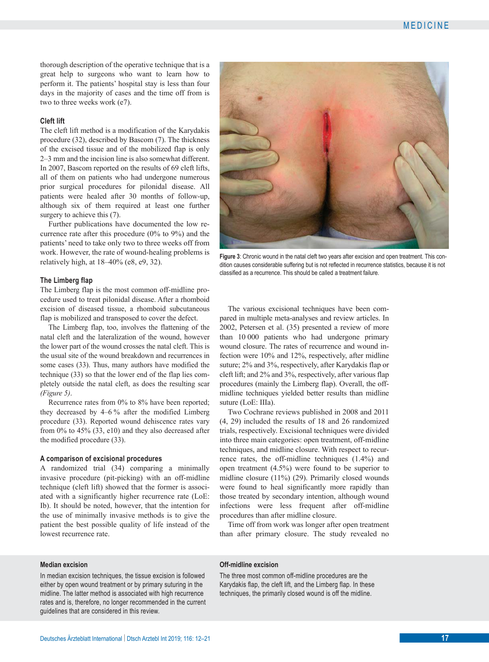thorough description of the operative technique that is a great help to surgeons who want to learn how to perform it. The patients' hospital stay is less than four days in the majority of cases and the time off from is two to three weeks work (e7).

#### **Cleft lift**

The cleft lift method is a modification of the Karydakis procedure (32), described by Bascom (7). The thickness of the excised tissue and of the mobilized flap is only 2–3 mm and the incision line is also somewhat different. In 2007, Bascom reported on the results of 69 cleft lifts, all of them on patients who had undergone numerous prior surgical procedures for pilonidal disease. All patients were healed after 30 months of follow-up, although six of them required at least one further surgery to achieve this  $(7)$ .

Further publications have documented the low recurrence rate after this procedure (0% to 9%) and the patients' need to take only two to three weeks off from work. However, the rate of wound-healing problems is relatively high, at 18–40% (e8, e9, 32).

#### **The Limberg flap**

The Limberg flap is the most common off-midline procedure used to treat pilonidal disease. After a rhomboid excision of diseased tissue, a rhomboid subcutaneous flap is mobilized and transposed to cover the defect.

The Limberg flap, too, involves the flattening of the natal cleft and the lateralization of the wound, however the lower part of the wound crosses the natal cleft. This is the usual site of the wound breakdown and recurrences in some cases (33). Thus, many authors have modified the technique (33) so that the lower end of the flap lies completely outside the natal cleft, as does the resulting scar *(Figure 5)*.

Recurrence rates from 0% to 8% have been reported; they decreased by 4–6 % after the modified Limberg procedure (33). Reported wound dehiscence rates vary from 0% to 45% (33, e10) and they also decreased after the modified procedure (33).

#### **A comparison of excisional procedures**

A randomized trial (34) comparing a minimally invasive procedure (pit-picking) with an off-midline technique (cleft lift) showed that the former is associated with a significantly higher recurrence rate (LoE: Ib). It should be noted, however, that the intention for the use of minimally invasive methods is to give the patient the best possible quality of life instead of the lowest recurrence rate.



**Figure 3**: Chronic wound in the natal cleft two years after excision and open treatment. This condition causes considerable suffering but is not reflected in recurrence statistics, because it is not classified as a recurrence. This should be called a treatment failure.

The various excisional techniques have been compared in multiple meta-analyses and review articles. In 2002, Petersen et al. (35) presented a review of more than 10 000 patients who had undergone primary wound closure. The rates of recurrence and wound infection were 10% and 12%, respectively, after midline suture; 2% and 3%, respectively, after Karydakis flap or cleft lift; and 2% and 3%, respectively, after various flap procedures (mainly the Limberg flap). Overall, the offmidline techniques yielded better results than midline suture (LoE: IIIa).

Two Cochrane reviews published in 2008 and 2011 (4, 29) included the results of 18 and 26 randomized trials, respectively. Excisional techniques were divided into three main categories: open treatment, off-midline techniques, and midline closure. With respect to recurrence rates, the off-midline techniques (1.4%) and open treatment (4.5%) were found to be superior to midline closure (11%) (29). Primarily closed wounds were found to heal significantly more rapidly than those treated by secondary intention, although wound infections were less frequent after off-midline procedures than after midline closure.

Time off from work was longer after open treatment than after primary closure. The study revealed no

#### **Median excision**

In median excision techniques, the tissue excision is followed either by open wound treatment or by primary suturing in the midline. The latter method is associated with high recurrence rates and is, therefore, no longer recommended in the current guidelines that are considered in this review.

#### **Off-midline excision**

The three most common off-midline procedures are the Karydakis flap, the cleft lift, and the Limberg flap. In these techniques, the primarily closed wound is off the midline.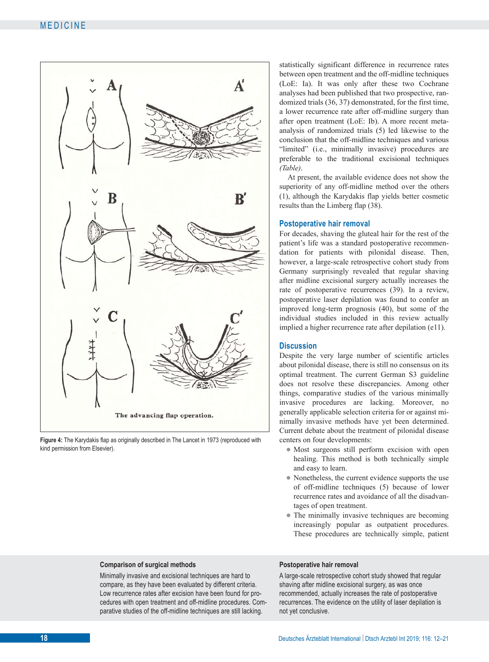

**Figure 4:** The Karydakis flap as originally described in The Lancet in 1973 (reproduced with kind permission from Elsevier).

 statistically significant difference in recurrence rates between open treatment and the off-midline techniques (LoE: Ia). It was only after these two Cochrane analyses had been published that two prospective, randomized trials (36, 37) demonstrated, for the first time, a lower recurrence rate after off-midline surgery than after open treatment (LoE: Ib). A more recent metaanalysis of randomized trials (5) led likewise to the conclusion that the off-midline techniques and various "limited" (i.e., minimally invasive) procedures are preferable to the traditional excisional techniques *(Table)*.

At present, the available evidence does not show the superiority of any off-midline method over the others (1), although the Karydakis flap yields better cosmetic results than the Limberg flap (38).

#### **Postoperative hair removal**

For decades, shaving the gluteal hair for the rest of the patient's life was a standard postoperative recommendation for patients with pilonidal disease. Then, however, a large-scale retrospective cohort study from Germany surprisingly revealed that regular shaving after midline excisional surgery actually increases the rate of postoperative recurrences (39). In a review, postoperative laser depilation was found to confer an improved long-term prognosis (40), but some of the individual studies included in this review actually implied a higher recurrence rate after depilation (e11).

#### **Discussion**

Despite the very large number of scientific articles about pilonidal disease, there is still no consensus on its optimal treatment. The current German S3 guideline does not resolve these discrepancies. Among other things, comparative studies of the various minimally invasive procedures are lacking. Moreover, no generally applicable selection criteria for or against minimally invasive methods have yet been determined. Current debate about the treatment of pilonidal disease centers on four developments:

- **●** Most surgeons still perform excision with open healing. This method is both technically simple and easy to learn.
- **●** Nonetheless, the current evidence supports the use of off-midline techniques (5) because of lower recurrence rates and avoidance of all the disadvantages of open treatment.
- **●** The minimally invasive techniques are becoming increasingly popular as outpatient procedures. These procedures are technically simple, patient

#### **Comparison of surgical methods**

Minimally invasive and excisional techniques are hard to compare, as they have been evaluated by different criteria. Low recurrence rates after excision have been found for procedures with open treatment and off-midline procedures. Comparative studies of the off-midline techniques are still lacking.

#### **Postoperative hair removal**

A large-scale retrospective cohort study showed that regular shaving after midline excisional surgery, as was once recommended, actually increases the rate of postoperative recurrences. The evidence on the utility of laser depilation is not yet conclusive.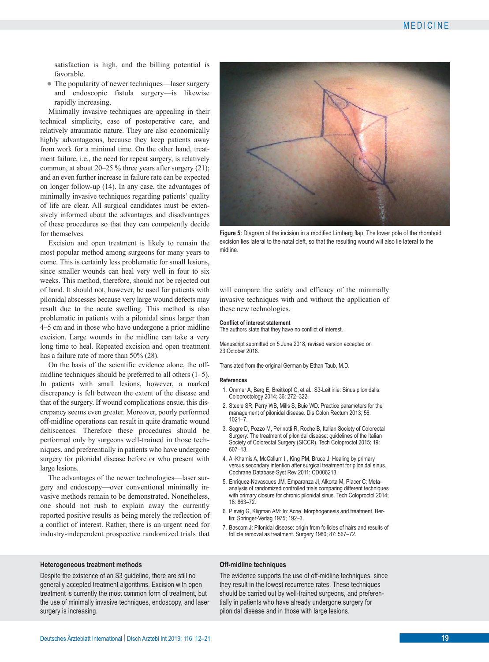satisfaction is high, and the billing potential is favorable.

**●** The popularity of newer techniques—laser surgery and endoscopic fistula surgery—is likewise rapidly increasing.

Minimally invasive techniques are appealing in their technical simplicity, ease of postoperative care, and relatively atraumatic nature. They are also economically highly advantageous, because they keep patients away from work for a minimal time. On the other hand, treatment failure, i.e., the need for repeat surgery, is relatively common, at about 20–25 % three years after surgery (21); and an even further increase in failure rate can be expected on longer follow-up (14). In any case, the advantages of minimally invasive techniques regarding patients' quality of life are clear. All surgical candidates must be extensively informed about the advantages and disadvantages of these procedures so that they can competently decide for themselves.

Excision and open treatment is likely to remain the most popular method among surgeons for many years to come. This is certainly less problematic for small lesions, since smaller wounds can heal very well in four to six weeks. This method, therefore, should not be rejected out of hand. It should not, however, be used for patients with pilonidal abscesses because very large wound defects may result due to the acute swelling. This method is also problematic in patients with a pilonidal sinus larger than 4–5 cm and in those who have undergone a prior midline excision. Large wounds in the midline can take a very long time to heal. Repeated excision and open treatment has a failure rate of more than 50% (28).

On the basis of the scientific evidence alone, the offmidline techniques should be preferred to all others  $(1-5)$ . In patients with small lesions, however, a marked discrepancy is felt between the extent of the disease and that of the surgery. If wound complications ensue, this discrepancy seems even greater. Moreover, poorly performed off-midline operations can result in quite dramatic wound dehiscences. Therefore these procedures should be performed only by surgeons well-trained in those techniques, and preferentially in patients who have undergone surgery for pilonidal disease before or who present with large lesions.

The advantages of the newer technologies—laser surgery and endoscopy—over conventional minimally invasive methods remain to be demonstrated. Nonetheless, one should not rush to explain away the currently reported positive results as being merely the reflection of a conflict of interest. Rather, there is an urgent need for industry-independent prospective randomized trials that

**Figure 5:** Diagram of the incision in a modified Limberg flap. The lower pole of the rhomboid excision lies lateral to the natal cleft, so that the resulting wound will also lie lateral to the midline.

will compare the safety and efficacy of the minimally invasive techniques with and without the application of these new technologies.

#### **Conflict of interest statement**

The authors state that they have no conflict of interest.

Manuscript submitted on 5 June 2018, revised version accepted on 23 October 2018.

Translated from the original German by Ethan Taub, M.D.

#### **References**

- 1. Ommer A, Berg E, Breitkopf C, et al.: S3-Leitlinie: Sinus pilonidalis. Coloproctology 2014; 36: 272–322.
- 2. Steele SR, Perry WB, Mills S, Buie WD: Practice parameters for the management of pilonidal disease. Dis Colon Rectum 2013; 56: 1021–7.
- 3. Segre D, Pozzo M, Perinotti R, Roche B, Italian Society of Colorectal Surgery: The treatment of pilonidal disease: guidelines of the Italian Society of Colorectal Surgery (SICCR). Tech Coloproctol 2015; 19: 607–13.
- 4. Al-Khamis A, McCallum I , King PM, Bruce J: Healing by primary versus secondary intention after surgical treatment for pilonidal sinus. Cochrane Database Syst Rev 2011: CD006213.
- 5. Enriquez-Navascues JM, Emparanza JI, Alkorta M, Placer C: Metaanalysis of randomized controlled trials comparing different techniques with primary closure for chronic pilonidal sinus. Tech Coloproctol 2014; 18: 863–72.
- 6. Plewig G, Kligman AM: In: Acne. Morphogenesis and treatment. Berlin: Springer-Verlag 1975; 192–3.
- 7. Bascom J: Pilonidal disease: origin from follicles of hairs and results of follicle removal as treatment. Surgery 1980; 87: 567–72.

#### **Heterogeneous treatment methods**

Despite the existence of an S3 guideline, there are still no generally accepted treatment algorithms. Excision with open treatment is currently the most common form of treatment, but the use of minimally invasive techniques, endoscopy, and laser surgery is increasing.

#### **Off-midline techniques**

 The evidence supports the use of off-midline techniques, since they result in the lowest recurrence rates. These techniques should be carried out by well-trained surgeons, and preferentially in patients who have already undergone surgery for pilonidal disease and in those with large lesions.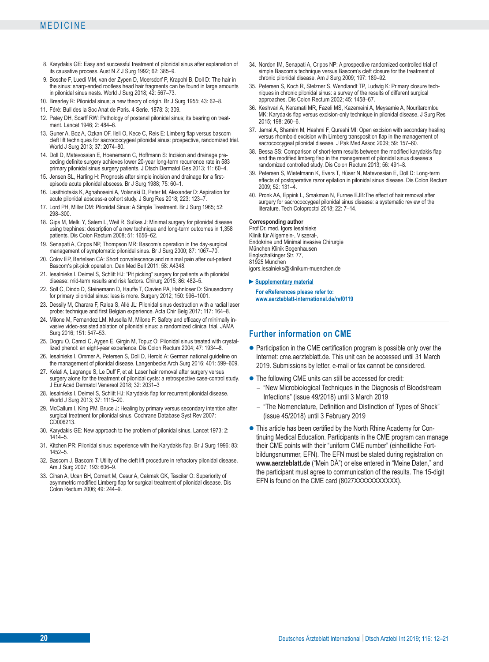- 8. Karydakis GE: Easy and successful treatment of pilonidal sinus after explanation of its causative process. Aust N Z J Surg 1992; 62: 385–9.
- 9. Bosche F, Luedi MM, van der Zypen D, Moersdorf P, Krapohl B, Doll D: The hair in the sinus: sharp-ended rootless head hair fragments can be found in large amounts in pilonidal sinus nests. World J Surg 2018; 42: 567–73.
- 10. Brearley R: Pilonidal sinus; a new theory of origin. Br J Surg 1955; 43: 62–8.
- 11. Féré: Bull des la Soc Anat de Paris. 4 Serie. 1878: 3; 309.
- 12. Patey DH, Scarff RW: Pathology of postanal pilonidal sinus; its bearing on treatment. Lancet 1946; 2: 484–6.
- 13. Guner A, Boz A, Ozkan OF, Ileli O, Kece C, Reis E: Limberg flap versus bascom cleft lift techniques for sacrococcygeal pilonidal sinus: prospective, randomized trial. World J Surg 2013; 37: 2074–80.
- 14. Doll D, Matevossian E, Hoenemann C, Hoffmann S: Incision and drainage preceding definite surgery achieves lower 20-year long-term recurrence rate in 583 primary pilonidal sinus surgery patients. J Dtsch Dermatol Ges 2013; 11: 60–4.
- 15. Jensen SL, Harling H: Prognosis after simple incision and drainage for a first episode acute pilonidal abscess. Br J Surg 1988; 75: 60–1.
- 16. Lasithiotakis K, Aghahoseini A, Volanaki D, Peter M, Alexander D: Aspiration for acute pilonidal abscess-a cohort study. J Surg Res 2018; 223: 123–7.
- 17. Lord PH, Millar DM: Pilonidal Sinus: A Simple Treatment. Br J Surg 1965; 52: 298–300.
- 18. Gips M, Melki Y, Salem L, Weil R, Sulkes J: Minimal surgery for pilonidal disease using trephines: description of a new technique and long-term outcomes in 1,358 patients. Dis Colon Rectum 2008; 51: 1656–62.
- 19. Senapati A, Cripps NP, Thompson MR: Bascom's operation in the day-surgical management of symptomatic pilonidal sinus. Br J Surg 2000; 87: 1067–70.
- 20. Colov EP, Bertelsen CA: Short convalescence and minimal pain after out-patient Bascom's pit-pick operation. Dan Med Bull 2011; 58: A4348.
- 21. Iesalnieks I, Deimel S, Schlitt HJ: "Pit picking" surgery for patients with pilonidal disease: mid-term results and risk factors. Chirurg 2015; 86: 482–5.
- 22. Soll C, Dindo D, Steinemann D, Hauffe T, Clavien PA, Hahnloser D: Sinusectomy for primary pilonidal sinus: less is more. Surgery 2012; 150: 996–1001.
- 23. Dessily M, Charara F, Ralea S, Allé JL: Pilonidal sinus destruction with a radial laser probe: technique and first Belgian experience. Acta Chir Belg 2017; 117: 164–8.
- 24. Milone M, Fernandez LM, Musella M, Milone F: Safety and efficacy of minimally invasive video-assisted ablation of pilonidal sinus: a randomized clinical trial. JAMA Surg 2016; 151: 547–53.
- 25. Dogru O, Camci C, Aygen E, Girgin M, Topuz O: Pilonidal sinus treated with crystallized phenol: an eight-year experience. Dis Colon Rectum 2004; 47: 1934–8.
- 26. Iesalnieks I, Ommer A, Petersen S, Doll D, Herold A: German national guideline on the management of pilonidal disease. Langenbecks Arch Surg 2016; 401: 599–609.
- 27. Kelati A, Lagrange S, Le Duff F, et al: Laser hair removal after surgery versus surgery alone for the treatment of pilonidal cysts: a retrospective case-control study. J Eur Acad Dermatol Venereol 2018; 32: 2031–3
- 28. Iesalnieks I, Deimel S, Schlitt HJ: Karydakis flap for recurrent pilonidal disease. World J Surg 2013; 37: 1115–20.
- 29. McCallum I, King PM, Bruce J: Healing by primary versus secondary intention after surgical treatment for pilonidal sinus. Cochrane Database Syst Rev 2007: CD006213.
- 30. Karydakis GE: New approach to the problem of pilonidal sinus. Lancet 1973; 2: 1414–5.
- 31. Kitchen PR: Pilonidal sinus: experience with the Karydakis flap. Br J Surg 1996; 83: 1452–5.
- 32. Bascom J, Bascom T: Utility of the cleft lift procedure in refractory pilonidal disease. Am J Surg 2007; 193: 606–9.
- 33. Cihan A, Ucan BH, Comert M, Cesur A, Cakmak GK, Tascilar O: Superiority of asymmetric modified Limberg flap for surgical treatment of pilonidal disease. Dis Colon Rectum 2006; 49: 244–9.
- 34. Nordon IM, Senapati A, Cripps NP: A prospective randomized controlled trial of simple Bascom's technique versus Bascom's cleft closure for the treatment of chronic pilonidal disease. Am J Surg 2009; 197: 189–92.
- 35. Petersen S, Koch R, Stelzner S, Wendlandt TP, Ludwig K: Primary closure tech niques in chronic pilonidal sinus: a survey of the results of different surgical approaches. Dis Colon Rectum 2002; 45: 1458–67.
- 36. Keshvari A, Keramati MR, Fazeli MS, Kazemeini A, Meysamie A, Nouritaromlou MK: Karydakis flap versus excision-only technique in pilonidal disease. J Surg Res 2015; 198: 260–6.
- 37. Jamal A, Shamim M, Hashmi F, Qureshi MI: Open excision with secondary healing versus rhomboid excision with Limberg transposition flap in the management of sacrococcygeal pilonidal disease. J Pak Med Assoc 2009; 59: 157–60.
- 38. Bessa SS: Comparison of short-term results between the modified karydakis flap and the modified limberg flap in the management of pilonidal sinus disease:a randomized controlled study. Dis Colon Rectum 2013; 56: 491–8.
- 39. Petersen S, Wietelmann K, Evers T, Hüser N, Matevossian E, Doll D: Long-term effects of postoperative razor epilation in pilonidal sinus disease. Dis Colon Rectum 2009; 52: 131–4.
- 40. Pronk AA, Eppink L, Smakman N, Furnee EJB:The effect of hair removal after surgery for sacrococcygeal pilonidal sinus disease: a systematic review of the literature. Tech Coloproctol 2018; 22: 7–14.

#### **Corresponding author**

Prof Dr. med. Igors Iesalnieks Klinik für Allgemein-, Viszeral-Endokrine und Minimal invasive Chirurgie München Klinik Bogenhausen Englschalkinger Str. 77, 81925 München igors.iesalnieks@klinikum-muenchen.de

#### **►Supplementary material**

**For eReferences please refer to: www.aerzteblatt-international.de/ref0119**

#### **Further information on CME**

- **●** Participation in the CME certification program is possible only over the Internet: cme.aerzteblatt.de. This unit can be accessed until 31 March 2019. Submissions by letter, e-mail or fax cannot be considered.
- **●** The following CME units can still be accessed for credit:
	- "New Microbiological Techniques in the Diagnosis of Bloodstream Infections" (issue 49/2018) until 3 March 2019
	- "The Nomenclature, Definition and Distinction of Types of Shock" (issue 45/2018) until 3 February 2019
- **•** This article has been certified by the North Rhine Academy for Continuing Medical Education. Participants in the CME program can manage their CME points with their "uniform CME number" (einheitliche Fortbildungsnummer, EFN). The EFN must be stated during registration on **www.aerzteblatt.de** ("Mein DÄ") or else entered in "Meine Daten," and the participant must agree to communication of the results. The 15-digit EFN is found on the CME card (8027XXXXXXXXXXX).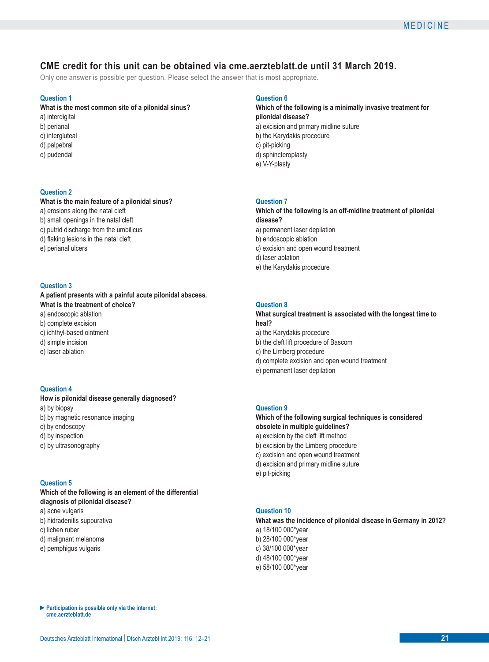### **CME credit for this unit can be obtained via cme.aerzteblatt.de until 31 March 2019.**

Only one answer is possible per question. Please select the answer that is most appropriate.

#### **Question 1**

#### **What is the most common site of a pilonidal sinus?**

a) interdigital

- b) perianal
- c) intergluteal d) palpebral
- e) pudendal
- 

#### **Question 2**

#### **What is the main feature of a pilonidal sinus?**

a) erosions along the natal cleft

- b) small openings in the natal cleft
- c) putrid discharge from the umbilicus
- d) flaking lesions in the natal cleft
- e) perianal ulcers

#### **Question 3**

**A patient presents with a painful acute pilonidal abscess. What is the treatment of choice?** 

a) endoscopic ablation

b) complete excision

- c) ichthyl-based ointment
- d) simple incision
- e) laser ablation

#### **Question 4**

**How is pilonidal disease generally diagnosed?**  a) by biopsy b) by magnetic resonance imaging c) by endoscopy

d) by inspection

e) by ultrasonography

#### **Question 5**

**Which of the following is an element of the differential diagnosis of pilonidal disease?**

a) acne vulgaris

b) hidradenitis suppurativa

c) lichen ruber

- d) malignant melanoma
- e) pemphigus vulgaris

#### **Question 6**

**Which of the following is a minimally invasive treatment for pilonidal disease?** a) excision and primary midline suture b) the Karydakis procedure c) pit-picking d) sphincteroplasty e) V-Y-plasty

#### **Question 7**

**Which of the following is an off-midline treatment of pilonidal disease?** a) permanent laser depilation b) endoscopic ablation c) excision and open wound treatment d) laser ablation e) the Karydakis procedure

#### **Question 8**

**What surgical treatment is associated with the longest time to heal?**

a) the Karydakis procedure

- b) the cleft lift procedure of Bascom
- c) the Limberg procedure
- d) complete excision and open wound treatment
- e) permanent laser depilation

#### **Question 9**

**Which of the following surgical techniques is considered obsolete in multiple guidelines?** a) excision by the cleft lift method b) excision by the Limberg procedure c) excision and open wound treatment d) excision and primary midline suture e) pit-picking

#### **Question 10**

**What was the incidence of pilonidal disease in Germany in 2012?**  a) 18/100 000\*year b) 28/100 000\*year c) 38/100 000\*year d) 48/100 000\*year e) 58/100 000\*year

**►Participation is possible only via the internet: cme.aerzteblatt.de**